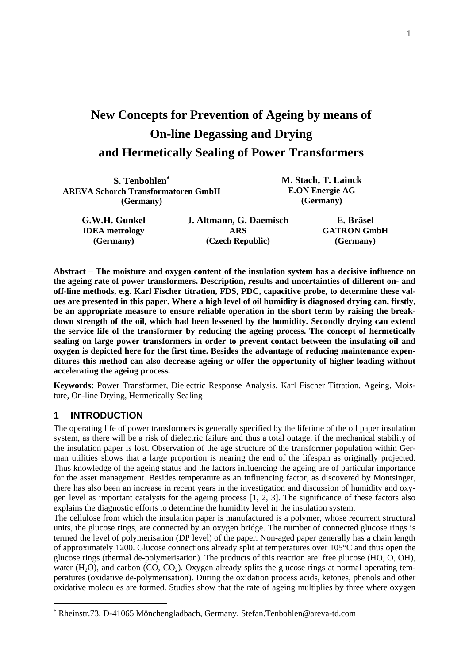# **New Concepts for Prevention of Ageing by means of On-line Degassing and Drying and Hermetically Sealing of Power Transformers**

| S. Tenbohlen*                             |                         | M. Stach, T. Lainck<br><b>E.ON Energie AG</b> |  |  |  |
|-------------------------------------------|-------------------------|-----------------------------------------------|--|--|--|
| <b>AREVA Schorch Transformatoren GmbH</b> |                         |                                               |  |  |  |
| (Germany)                                 |                         | (Germany)                                     |  |  |  |
| G.W.H. Gunkel                             | J. Altmann, G. Daemisch | E. Bräsel                                     |  |  |  |
| <b>IDEA</b> metrology                     | ARS                     | <b>GATRON GmbH</b>                            |  |  |  |
| (Germany)                                 | (Czech Republic)        | (Germany)                                     |  |  |  |

**Abstract** – **The moisture and oxygen content of the insulation system has a decisive influence on the ageing rate of power transformers. Description, results and uncertainties of different on- and off-line methods, e.g. Karl Fischer titration, FDS, PDC, capacitive probe, to determine these values are presented in this paper. Where a high level of oil humidity is diagnosed drying can, firstly, be an appropriate measure to ensure reliable operation in the short term by raising the breakdown strength of the oil, which had been lessened by the humidity. Secondly drying can extend the service life of the transformer by reducing the ageing process. The concept of hermetically sealing on large power transformers in order to prevent contact between the insulating oil and oxygen is depicted here for the first time. Besides the advantage of reducing maintenance expenditures this method can also decrease ageing or offer the opportunity of higher loading without accelerating the ageing process.** 

**Keywords:** Power Transformer, Dielectric Response Analysis, Karl Fischer Titration, Ageing, Moisture, On-line Drying, Hermetically Sealing

# **1 INTRODUCTION**

l

The operating life of power transformers is generally specified by the lifetime of the oil paper insulation system, as there will be a risk of dielectric failure and thus a total outage, if the mechanical stability of the insulation paper is lost. Observation of the age structure of the transformer population within German utilities shows that a large proportion is nearing the end of the lifespan as originally projected. Thus knowledge of the ageing status and the factors influencing the ageing are of particular importance for the asset management. Besides temperature as an influencing factor, as discovered by Montsinger, there has also been an increase in recent years in the investigation and discussion of humidity and oxygen level as important catalysts for the ageing process [1, 2, 3]. The significance of these factors also explains the diagnostic efforts to determine the humidity level in the insulation system.

The cellulose from which the insulation paper is manufactured is a polymer, whose recurrent structural units, the glucose rings, are connected by an oxygen bridge. The number of connected glucose rings is termed the level of polymerisation (DP level) of the paper. Non-aged paper generally has a chain length of approximately 1200. Glucose connections already split at temperatures over 105°C and thus open the glucose rings (thermal de-polymerisation). The products of this reaction are: free glucose (HO, O, OH), water (H<sub>2</sub>O), and carbon (CO, CO<sub>2</sub>). Oxygen already splits the glucose rings at normal operating temperatures (oxidative de-polymerisation). During the oxidation process acids, ketones, phenols and other oxidative molecules are formed. Studies show that the rate of ageing multiplies by three where oxygen

<span id="page-0-0"></span><sup>∗</sup> Rheinstr.73, D-41065 Mönchengladbach, Germany, Stefan.Tenbohlen@areva-td.com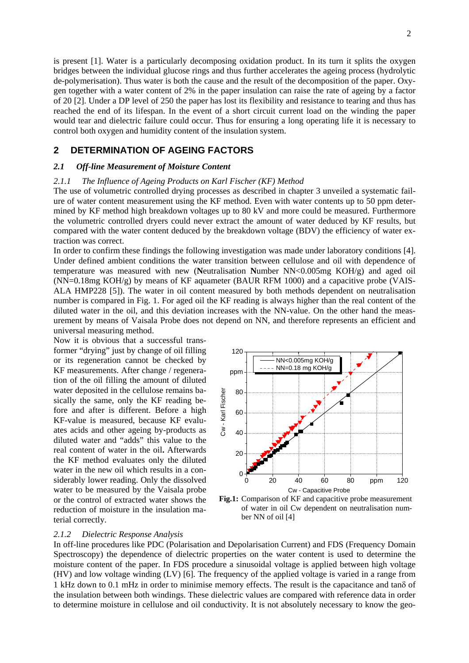is present [1]. Water is a particularly decomposing oxidation product. In its turn it splits the oxygen bridges between the individual glucose rings and thus further accelerates the ageing process (hydrolytic de-polymerisation). Thus water is both the cause and the result of the decomposition of the paper. Oxygen together with a water content of 2% in the paper insulation can raise the rate of ageing by a factor of 20 [2]. Under a DP level of 250 the paper has lost its flexibility and resistance to tearing and thus has reached the end of its lifespan. In the event of a short circuit current load on the winding the paper would tear and dielectric failure could occur. Thus for ensuring a long operating life it is necessary to control both oxygen and humidity content of the insulation system.

## **2 DETERMINATION OF AGEING FACTORS**

#### *2.1 Off-line Measurement of Moisture Content*

#### *2.1.1 The Influence of Ageing Products on Karl Fischer (KF) Method*

The use of volumetric controlled drying processes as described in chapter 3 unveiled a systematic failure of water content measurement using the KF method. Even with water contents up to 50 ppm determined by KF method high breakdown voltages up to 80 kV and more could be measured. Furthermore the volumetric controlled dryers could never extract the amount of water deduced by KF results, but compared with the water content deduced by the breakdown voltage (BDV) the efficiency of water extraction was correct.

In order to confirm these findings the following investigation was made under laboratory conditions [4]. Under defined ambient conditions the water transition between cellulose and oil with dependence of temperature was measured with new (**N**eutralisation **N**umber NN<0.005mg KOH/g) and aged oil  $(NN=0.18$ mg  $KOH/g$ ) by means of KF aquameter (BAUR RFM 1000) and a capacitive probe (VAIS-ALA HMP228 [5]). The water in oil content measured by both methods dependent on neutralisation number is compared in Fig. 1. For aged oil the KF reading is always higher than the real content of the diluted water in the oil, and this deviation increases with the NN-value. On the other hand the measurement by means of Vaisala Probe does not depend on NN, and therefore represents an efficient and universal measuring method.

Now it is obvious that a successful transformer "drying" just by change of oil filling or its regeneration cannot be checked by KF measurements. After change / regeneration of the oil filling the amount of diluted water deposited in the cellulose remains basically the same, only the KF reading before and after is different. Before a high KF-value is measured, because KF evaluates acids and other ageing by-products as diluted water and "adds" this value to the real content of water in the oil**.** Afterwards the KF method evaluates only the diluted water in the new oil which results in a considerably lower reading. Only the dissolved water to be measured by the Vaisala probe or the control of extracted water shows the reduction of moisture in the insulation material correctly.



**Fig.1:** Comparison of KF and capacitive probe measurement of water in oil Cw dependent on neutralisation number NN of oil [4]

#### *2.1.2 Dielectric Response Analysis*

In off-line procedures like PDC (Polarisation and Depolarisation Current) and FDS (Frequency Domain Spectroscopy) the dependence of dielectric properties on the water content is used to determine the moisture content of the paper. In FDS procedure a sinusoidal voltage is applied between high voltage (HV) and low voltage winding (LV) [6]. The frequency of the applied voltage is varied in a range from 1 kHz down to 0.1 mHz in order to minimise memory effects. The result is the capacitance and tanδ of the insulation between both windings. These dielectric values are compared with reference data in order to determine moisture in cellulose and oil conductivity. It is not absolutely necessary to know the geo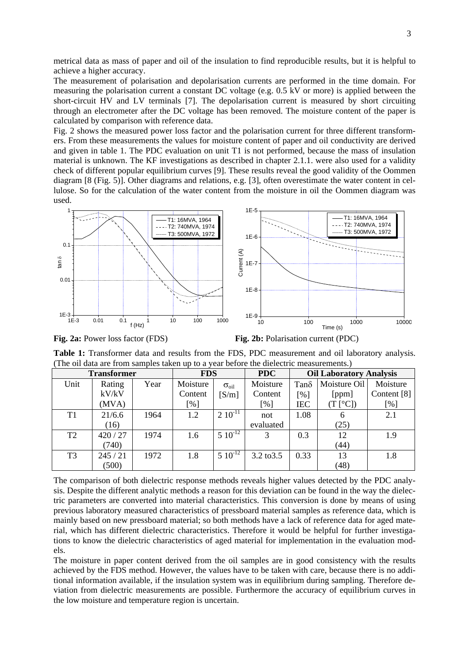metrical data as mass of paper and oil of the insulation to find reproducible results, but it is helpful to achieve a higher accuracy.

The measurement of polarisation and depolarisation currents are performed in the time domain. For measuring the polarisation current a constant DC voltage (e.g. 0.5 kV or more) is applied between the short-circuit HV and LV terminals [7]. The depolarisation current is measured by short circuiting through an electrometer after the DC voltage has been removed. The moisture content of the paper is calculated by comparison with reference data.

Fig. 2 shows the measured power loss factor and the polarisation current for three different transformers. From these measurements the values for moisture content of paper and oil conductivity are derived and given in table 1. The PDC evaluation on unit T1 is not performed, because the mass of insulation material is unknown. The KF investigations as described in chapter 2.1.1. were also used for a validity check of different popular equilibrium curves [9]. These results reveal the good validity of the Oommen diagram [8 (Fig. 5)]. Other diagrams and relations, e.g. [3], often overestimate the water content in cellulose. So for the calculation of the water content from the moisture in oil the Oommen diagram was used.



**Fig. 2a:** Power loss factor (FDS) **Fig. 2b:** Polarisation current (PDC)

**Table 1:** Transformer data and results from the FDS, PDC measurement and oil laboratory analysis. (The oil data are from samples taken up to a year before the dielectric measurements.)

| <b>Transformer</b> |        | <b>FDS</b> |          | <b>PDC</b>          | <b>Oil Laboratory Analysis</b> |             |                  |             |
|--------------------|--------|------------|----------|---------------------|--------------------------------|-------------|------------------|-------------|
| Unit               | Rating | Year       | Moisture | $\sigma_{\rm oil}$  | Moisture                       | $Tan\delta$ | Moisture Oil     | Moisture    |
|                    | kV/kV  |            | Content  | [S/m]               | Content                        | [%]         | [ppm]            | Content [8] |
|                    | (MVA)  |            | [%]      |                     | $\lceil \% \rceil$             | <b>IEC</b>  | $(T[^{\circ}C])$ | [%]         |
| T <sub>1</sub>     | 21/6.6 | 1964       | 1.2      | $2\ 10^{-11}$       | not                            | 1.08        | 6                | 2.1         |
|                    | (16)   |            |          |                     | evaluated                      |             | (25)             |             |
| T <sub>2</sub>     | 420/27 | 1974       | 1.6      | $5 \times 10^{-12}$ | 3                              | 0.3         | 12               | 1.9         |
|                    | (740)  |            |          |                     |                                |             | (44)             |             |
| T <sub>3</sub>     | 245/21 | 1972       | 1.8      | $5 \times 10^{-12}$ | 3.2 to 3.5                     | 0.33        | 13               | 1.8         |
|                    | (500)  |            |          |                     |                                |             | (48)             |             |

The comparison of both dielectric response methods reveals higher values detected by the PDC analysis. Despite the different analytic methods a reason for this deviation can be found in the way the dielectric parameters are converted into material characteristics. This conversion is done by means of using previous laboratory measured characteristics of pressboard material samples as reference data, which is mainly based on new pressboard material; so both methods have a lack of reference data for aged material, which has different dielectric characteristics. Therefore it would be helpful for further investigations to know the dielectric characteristics of aged material for implementation in the evaluation models.

The moisture in paper content derived from the oil samples are in good consistency with the results achieved by the FDS method. However, the values have to be taken with care, because there is no additional information available, if the insulation system was in equilibrium during sampling. Therefore deviation from dielectric measurements are possible. Furthermore the accuracy of equilibrium curves in the low moisture and temperature region is uncertain.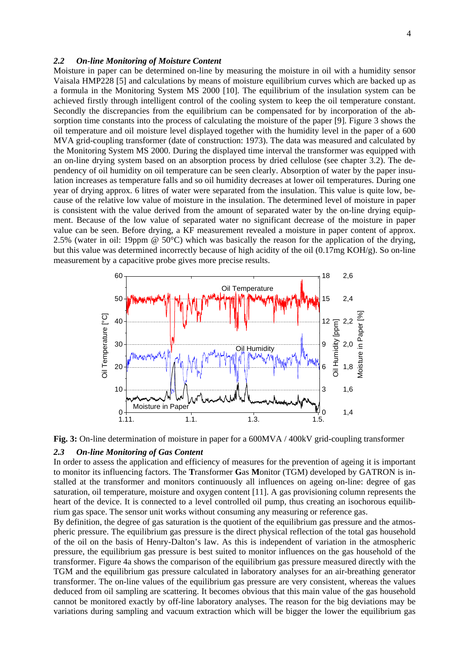#### *2.2 On-line Monitoring of Moisture Content*

Moisture in paper can be determined on-line by measuring the moisture in oil with a humidity sensor Vaisala HMP228 [5] and calculations by means of moisture equilibrium curves which are backed up as a formula in the Monitoring System MS 2000 [10]. The equilibrium of the insulation system can be achieved firstly through intelligent control of the cooling system to keep the oil temperature constant. Secondly the discrepancies from the equilibrium can be compensated for by incorporation of the absorption time constants into the process of calculating the moisture of the paper [9]. Figure 3 shows the oil temperature and oil moisture level displayed together with the humidity level in the paper of a 600 MVA grid-coupling transformer (date of construction: 1973). The data was measured and calculated by the Monitoring System MS 2000. During the displayed time interval the transformer was equipped with an on-line drying system based on an absorption process by dried cellulose (see chapter 3.2). The dependency of oil humidity on oil temperature can be seen clearly. Absorption of water by the paper insulation increases as temperature falls and so oil humidity decreases at lower oil temperatures. During one year of drying approx. 6 litres of water were separated from the insulation. This value is quite low, because of the relative low value of moisture in the insulation. The determined level of moisture in paper is consistent with the value derived from the amount of separated water by the on-line drying equipment. Because of the low value of separated water no significant decrease of the moisture in paper value can be seen. Before drying, a KF measurement revealed a moisture in paper content of approx. 2.5% (water in oil: 19ppm @ 50°C) which was basically the reason for the application of the drying, but this value was determined incorrectly because of high acidity of the oil (0.17mg KOH/g). So on-line measurement by a capacitive probe gives more precise results.



**Fig. 3:** On-line determination of moisture in paper for a 600MVA / 400kV grid-coupling transformer

#### *2.3 On-line Monitoring of Gas Content*

In order to assess the application and efficiency of measures for the prevention of ageing it is important to monitor its influencing factors. The **T**ransformer **G**as **M**onitor (TGM) developed by GATRON is installed at the transformer and monitors continuously all influences on ageing on-line: degree of gas saturation, oil temperature, moisture and oxygen content [11]. A gas provisioning column represents the heart of the device. It is connected to a level controlled oil pump, thus creating an isochorous equilibrium gas space. The sensor unit works without consuming any measuring or reference gas.

By definition, the degree of gas saturation is the quotient of the equilibrium gas pressure and the atmospheric pressure. The equilibrium gas pressure is the direct physical reflection of the total gas household of the oil on the basis of Henry-Dalton's law. As this is independent of variation in the atmospheric pressure, the equilibrium gas pressure is best suited to monitor influences on the gas household of the transformer. Figure 4a shows the comparison of the equilibrium gas pressure measured directly with the TGM and the equilibrium gas pressure calculated in laboratory analyses for an air-breathing generator transformer. The on-line values of the equilibrium gas pressure are very consistent, whereas the values deduced from oil sampling are scattering. It becomes obvious that this main value of the gas household cannot be monitored exactly by off-line laboratory analyses. The reason for the big deviations may be variations during sampling and vacuum extraction which will be bigger the lower the equilibrium gas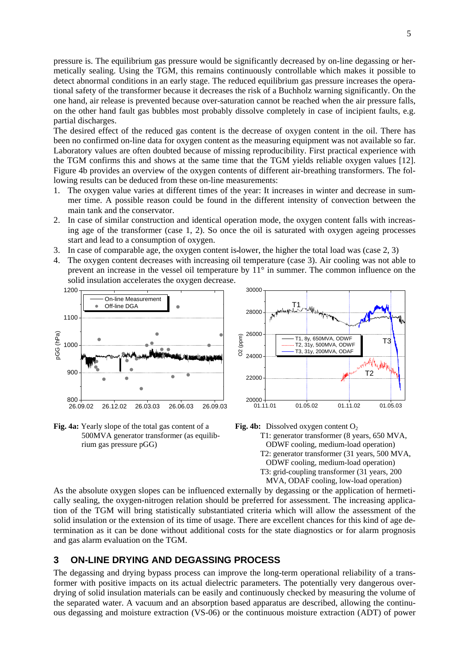pressure is. The equilibrium gas pressure would be significantly decreased by on-line degassing or hermetically sealing. Using the TGM, this remains continuously controllable which makes it possible to detect abnormal conditions in an early stage. The reduced equilibrium gas pressure increases the operational safety of the transformer because it decreases the risk of a Buchholz warning significantly. On the one hand, air release is prevented because over-saturation cannot be reached when the air pressure falls, on the other hand fault gas bubbles most probably dissolve completely in case of incipient faults, e.g. partial discharges.

The desired effect of the reduced gas content is the decrease of oxygen content in the oil. There has been no confirmed on-line data for oxygen content as the measuring equipment was not available so far. Laboratory values are often doubted because of missing reproducibility. First practical experience with the TGM confirms this and shows at the same time that the TGM yields reliable oxygen values [12]. Figure 4b provides an overview of the oxygen contents of different air-breathing transformers. The following results can be deduced from these on-line measurements:

- 1. The oxygen value varies at different times of the year: It increases in winter and decrease in summer time. A possible reason could be found in the different intensity of convection between the main tank and the conservator.
- 2. In case of similar construction and identical operation mode, the oxygen content falls with increasing age of the transformer (case 1, 2). So once the oil is saturated with oxygen ageing processes start and lead to a consumption of oxygen.
- 3. In case of comparable age, the oxygen content is lower, the higher the total load was (case 2, 3)
- 4. The oxygen content decreases with increasing oil temperature (case 3). Air cooling was not able to prevent an increase in the vessel oil temperature by 11° in summer. The common influence on the solid insulation accelerates the oxygen decrease.



**Fig. 4a:** Yearly slope of the total gas content of a 500MVA generator transformer (as equilibrium gas pressure pGG)





As the absolute oxygen slopes can be influenced externally by degassing or the application of hermetically sealing, the oxygen-nitrogen relation should be preferred for assessment. The increasing application of the TGM will bring statistically substantiated criteria which will allow the assessment of the solid insulation or the extension of its time of usage. There are excellent chances for this kind of age determination as it can be done without additional costs for the state diagnostics or for alarm prognosis and gas alarm evaluation on the TGM.

## **3 ON-LINE DRYING AND DEGASSING PROCESS**

The degassing and drying bypass process can improve the long-term operational reliability of a transformer with positive impacts on its actual dielectric parameters. The potentially very dangerous overdrying of solid insulation materials can be easily and continuously checked by measuring the volume of the separated water. A vacuum and an absorption based apparatus are described, allowing the continuous degassing and moisture extraction (VS-06) or the continuous moisture extraction (ADT) of power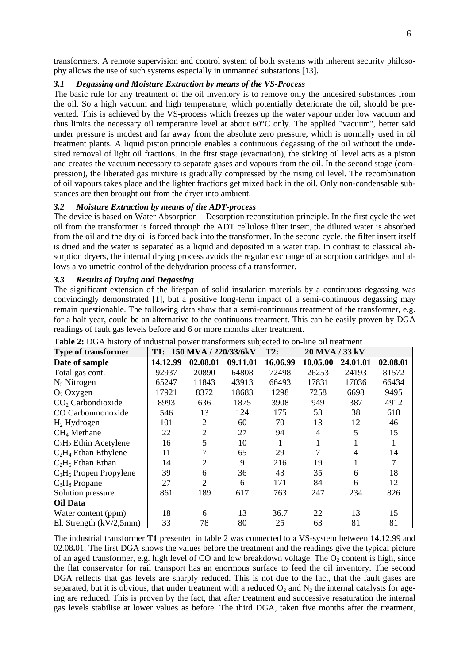transformers. A remote supervision and control system of both systems with inherent security philosophy allows the use of such systems especially in unmanned substations [13].

### *3.1 Degassing and Moisture Extraction by means of the VS-Process*

The basic rule for any treatment of the oil inventory is to remove only the undesired substances from the oil. So a high vacuum and high temperature, which potentially deteriorate the oil, should be prevented. This is achieved by the VS-process which freezes up the water vapour under low vacuum and thus limits the necessary oil temperature level at about 60°C only. The applied "vacuum", better said under pressure is modest and far away from the absolute zero pressure, which is normally used in oil treatment plants. A liquid piston principle enables a continuous degassing of the oil without the undesired removal of light oil fractions. In the first stage (evacuation), the sinking oil level acts as a piston and creates the vacuum necessary to separate gases and vapours from the oil. In the second stage (compression), the liberated gas mixture is gradually compressed by the rising oil level. The recombination of oil vapours takes place and the lighter fractions get mixed back in the oil. Only non-condensable substances are then brought out from the dryer into ambient.

## *3.2 Moisture Extraction by means of the ADT-process*

The device is based on Water Absorption – Desorption reconstitution principle. In the first cycle the wet oil from the transformer is forced through the ADT cellulose filter insert, the diluted water is absorbed from the oil and the dry oil is forced back into the transformer. In the second cycle, the filter insert itself is dried and the water is separated as a liquid and deposited in a water trap. In contrast to classical absorption dryers, the internal drying process avoids the regular exchange of adsorption cartridges and allows a volumetric control of the dehydration process of a transformer.

## *3.3 Results of Drying and Degassing*

The significant extension of the lifespan of solid insulation materials by a continuous degassing was convincingly demonstrated [1], but a positive long-term impact of a semi-continuous degassing may remain questionable. The following data show that a semi-continuous treatment of the transformer, e.g. for a half year, could be an alternative to the continuous treatment. This can be easily proven by DGA readings of fault gas levels before and 6 or more months after treatment.

| Type of transformer        | T1:      | 150 MVA / 220/33/6kV |          | T2:      | 20 MVA / 33 kV |          |          |
|----------------------------|----------|----------------------|----------|----------|----------------|----------|----------|
| Date of sample             | 14.12.99 | 02.08.01             | 09.11.01 | 16.06.99 | 10.05.00       | 24.01.01 | 02.08.01 |
| Total gas cont.            | 92937    | 20890                | 64808    | 72498    | 26253          | 24193    | 81572    |
| $N_2$ Nitrogen             | 65247    | 11843                | 43913    | 66493    | 17831          | 17036    | 66434    |
| $O_2$ Oxygen               | 17921    | 8372                 | 18683    | 1298     | 7258           | 6698     | 9495     |
| $CO2$ Carbondioxide        | 8993     | 636                  | 1875     | 3908     | 949            | 387      | 4912     |
| CO Carbonmonoxide          | 546      | 13                   | 124      | 175      | 53             | 38       | 618      |
| $H_2$ Hydrogen             | 101      | $\overline{2}$       | 60       | 70       | 13             | 12       | 46       |
| CH <sub>4</sub> Methane    | 22       | $\overline{2}$       | 27       | 94       | $\overline{4}$ | 5        | 15       |
| $C_2H_2$ Ethin Acetylene   | 16       | 5                    | 10       |          |                |          |          |
| $C_2H_4$ Ethan Ethylene    | 11       |                      | 65       | 29       |                | 4        | 14       |
| $C_2H_6$ Ethan Ethan       | 14       | 2                    | 9        | 216      | 19             |          |          |
| $C_3H_6$ Propen Propylene  | 39       | 6                    | 36       | 43       | 35             | 6        | 18       |
| $C_3H_8$ Propane           | 27       | 2                    | 6        | 171      | 84             | 6        | 12       |
| Solution pressure          | 861      | 189                  | 617      | 763      | 247            | 234      | 826      |
| <b>Oil Data</b>            |          |                      |          |          |                |          |          |
| Water content (ppm)        | 18       | 6                    | 13       | 36.7     | 22             | 13       | 15       |
| El. Strength $(kV/2, 5mm)$ | 33       | 78                   | 80       | 25       | 63             | 81       | 81       |

The industrial transformer **T1** presented in table 2 was connected to a VS-system between 14.12.99 and 02.08**.**01. The first DGA shows the values before the treatment and the readings give the typical picture of an aged transformer, e.g. high level of CO and low breakdown voltage. The  $O_2$  content is high, since the flat conservator for rail transport has an enormous surface to feed the oil inventory. The second DGA reflects that gas levels are sharply reduced. This is not due to the fact, that the fault gases are separated, but it is obvious, that under treatment with a reduced  $O_2$  and  $N_2$  the internal catalysts for ageing are reduced. This is proven by the fact, that after treatment and successive resaturation the internal gas levels stabilise at lower values as before. The third DGA, taken five months after the treatment,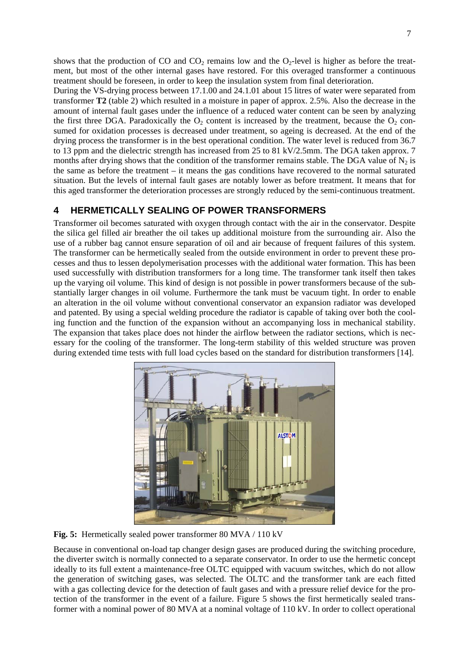shows that the production of CO and  $CO<sub>2</sub>$  remains low and the  $O<sub>2</sub>$ -level is higher as before the treatment, but most of the other internal gases have restored. For this overaged transformer a continuous treatment should be foreseen, in order to keep the insulation system from final deterioration. During the VS-drying process between 17.1.00 and 24.1.01 about 15 litres of water were separated from transformer **T2** (table 2) which resulted in a moisture in paper of approx. 2.5%. Also the decrease in the

amount of internal fault gases under the influence of a reduced water content can be seen by analyzing the first three DGA. Paradoxically the  $O<sub>2</sub>$  content is increased by the treatment, because the  $O<sub>2</sub>$  consumed for oxidation processes is decreased under treatment, so ageing is decreased. At the end of the drying process the transformer is in the best operational condition. The water level is reduced from 36.7 to 13 ppm and the dielectric strength has increased from 25 to 81 kV/2.5mm. The DGA taken approx. 7 months after drying shows that the condition of the transformer remains stable. The DGA value of  $N_2$  is the same as before the treatment – it means the gas conditions have recovered to the normal saturated situation. But the levels of internal fault gases are notably lower as before treatment. It means that for this aged transformer the deterioration processes are strongly reduced by the semi-continuous treatment.

# **4 HERMETICALLY SEALING OF POWER TRANSFORMERS**

Transformer oil becomes saturated with oxygen through contact with the air in the conservator. Despite the silica gel filled air breather the oil takes up additional moisture from the surrounding air. Also the use of a rubber bag cannot ensure separation of oil and air because of frequent failures of this system. The transformer can be hermetically sealed from the outside environment in order to prevent these processes and thus to lessen depolymerisation processes with the additional water formation. This has been used successfully with distribution transformers for a long time. The transformer tank itself then takes up the varying oil volume. This kind of design is not possible in power transformers because of the substantially larger changes in oil volume. Furthermore the tank must be vacuum tight. In order to enable an alteration in the oil volume without conventional conservator an expansion radiator was developed and patented. By using a special welding procedure the radiator is capable of taking over both the cooling function and the function of the expansion without an accompanying loss in mechanical stability. The expansion that takes place does not hinder the airflow between the radiator sections, which is necessary for the cooling of the transformer. The long-term stability of this welded structure was proven during extended time tests with full load cycles based on the standard for distribution transformers [14].



**Fig. 5:** Hermetically sealed power transformer 80 MVA / 110 kV

Because in conventional on-load tap changer design gases are produced during the switching procedure, the diverter switch is normally connected to a separate conservator. In order to use the hermetic concept ideally to its full extent a maintenance-free OLTC equipped with vacuum switches, which do not allow the generation of switching gases, was selected. The OLTC and the transformer tank are each fitted with a gas collecting device for the detection of fault gases and with a pressure relief device for the protection of the transformer in the event of a failure. Figure 5 shows the first hermetically sealed transformer with a nominal power of 80 MVA at a nominal voltage of 110 kV. In order to collect operational